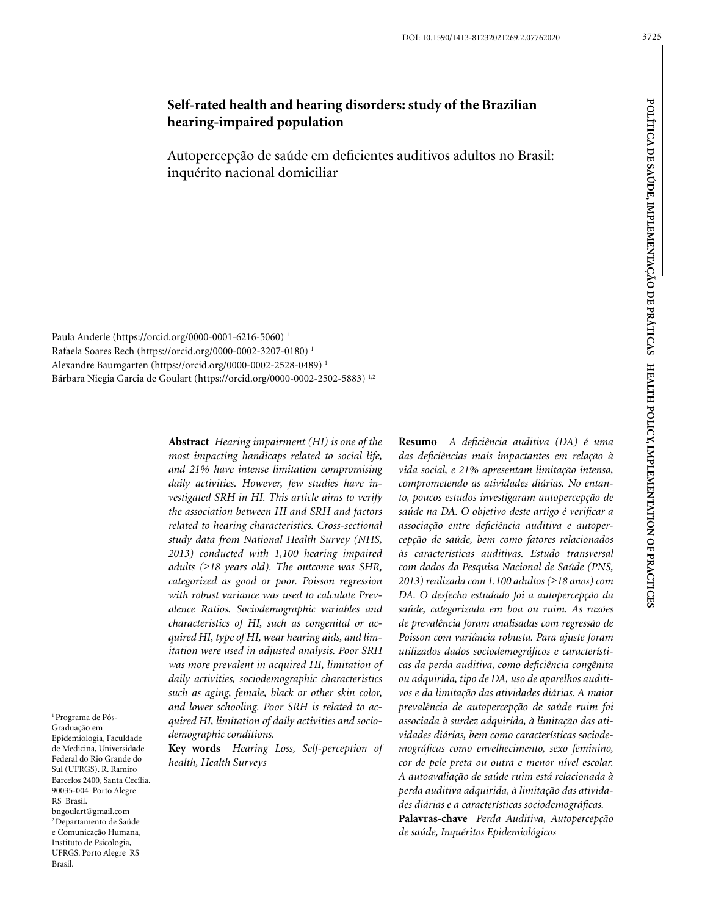# 3725

# **Self-rated health and hearing disorders: study of the Brazilian hearing-impaired population**

Autopercepção de saúde em deficientes auditivos adultos no Brasil: inquérito nacional domiciliar

Paula Anderle (https://orcid.org/0000-0001-6216-5060) 1 Rafaela Soares Rech (https://orcid.org/0000-0002-3207-0180) 1 Alexandre Baumgarten (https://orcid.org/0000-0002-2528-0489) 1 Bárbara Niegia Garcia de Goulart (https://orcid.org/0000-0002-2502-5883) 1,2

> **Abstract** *Hearing impairment (HI) is one of the most impacting handicaps related to social life, and 21% have intense limitation compromising daily activities. However, few studies have investigated SRH in HI. This article aims to verify the association between HI and SRH and factors related to hearing characteristics. Cross-sectional study data from National Health Survey (NHS, 2013) conducted with 1,100 hearing impaired adults (*≥*18 years old). The outcome was SHR, categorized as good or poor. Poisson regression with robust variance was used to calculate Prevalence Ratios. Sociodemographic variables and characteristics of HI, such as congenital or acquired HI, type of HI, wear hearing aids, and limitation were used in adjusted analysis. Poor SRH was more prevalent in acquired HI, limitation of daily activities, sociodemographic characteristics such as aging, female, black or other skin color, and lower schooling. Poor SRH is related to acquired HI, limitation of daily activities and sociodemographic conditions.*

**Key words** *Hearing Loss, Self-perception of health, Health Surveys*

**Resumo** *A deficiência auditiva (DA) é uma das deficiências mais impactantes em relação à vida social, e 21% apresentam limitação intensa, comprometendo as atividades diárias. No entanto, poucos estudos investigaram autopercepção de saúde na DA. O objetivo deste artigo é verificar a associação entre deficiência auditiva e autopercepção de saúde, bem como fatores relacionados às características auditivas. Estudo transversal com dados da Pesquisa Nacional de Saúde (PNS, 2013) realizada com 1.100 adultos (*≥*18 anos) com DA. O desfecho estudado foi a autopercepção da saúde, categorizada em boa ou ruim. As razões de prevalência foram analisadas com regressão de Poisson com variância robusta. Para ajuste foram utilizados dados sociodemográficos e características da perda auditiva, como deficiência congênita ou adquirida, tipo de DA, uso de aparelhos auditivos e da limitação das atividades diárias. A maior prevalência de autopercepção de saúde ruim foi associada à surdez adquirida, à limitação das atividades diárias, bem como características sociodemográficas como envelhecimento, sexo feminino, cor de pele preta ou outra e menor nível escolar. A autoavaliação de saúde ruim está relacionada à perda auditiva adquirida, à limitação das atividades diárias e a características sociodemográficas.* **Palavras-chave** *Perda Auditiva, Autopercepção de saúde, Inquéritos Epidemiológicos*

1 Programa de Pós-Graduação em Epidemiologia, Faculdade de Medicina, Universidade Federal do Rio Grande do Sul (UFRGS). R. Ramiro Barcelos 2400, Santa Cecília. 90035-004 Porto Alegre RS Brasil. bngoulart@gmail.com 2 Departamento de Saúde e Comunicação Humana, Instituto de Psicologia, UFRGS. Porto Alegre RS Brasil.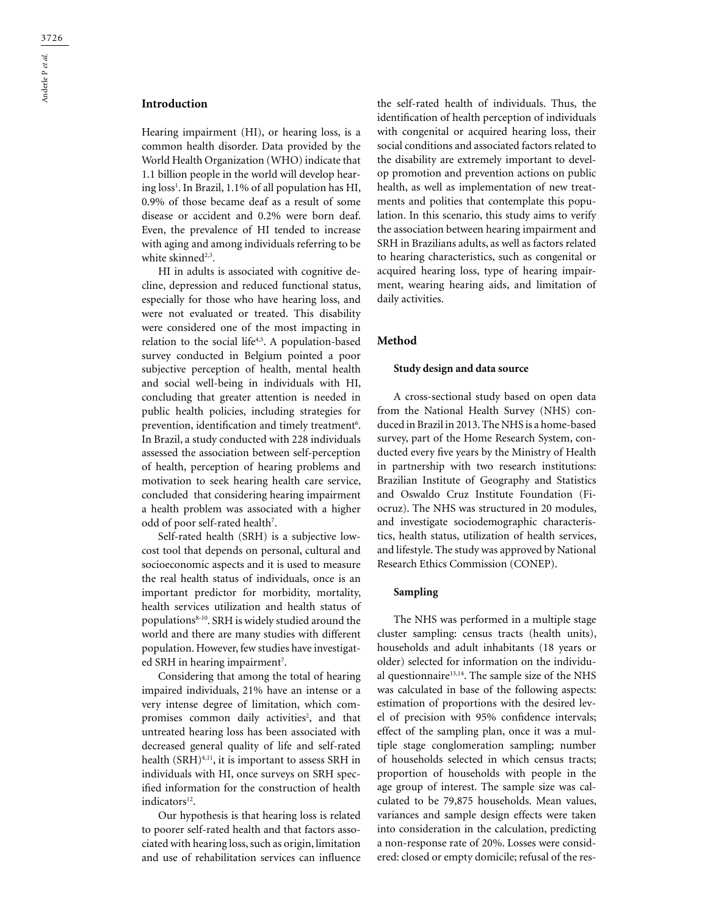Hearing impairment (HI), or hearing loss, is a common health disorder. Data provided by the World Health Organization (WHO) indicate that 1.1 billion people in the world will develop hearing loss1 . In Brazil, 1.1% of all population has HI, 0.9% of those became deaf as a result of some disease or accident and 0.2% were born deaf. Even, the prevalence of HI tended to increase with aging and among individuals referring to be white skinned<sup>2,3</sup>.

HI in adults is associated with cognitive decline, depression and reduced functional status, especially for those who have hearing loss, and were not evaluated or treated. This disability were considered one of the most impacting in relation to the social life<sup>4,5</sup>. A population-based survey conducted in Belgium pointed a poor subjective perception of health, mental health and social well-being in individuals with HI, concluding that greater attention is needed in public health policies, including strategies for prevention, identification and timely treatment<sup>6</sup>. In Brazil, a study conducted with 228 individuals assessed the association between self-perception of health, perception of hearing problems and motivation to seek hearing health care service, concluded that considering hearing impairment a health problem was associated with a higher odd of poor self-rated health<sup>7</sup>.

Self-rated health (SRH) is a subjective lowcost tool that depends on personal, cultural and socioeconomic aspects and it is used to measure the real health status of individuals, once is an important predictor for morbidity, mortality, health services utilization and health status of populations8-10. SRH is widely studied around the world and there are many studies with different population. However, few studies have investigated SRH in hearing impairment<sup>7</sup>.

Considering that among the total of hearing impaired individuals, 21% have an intense or a very intense degree of limitation, which compromises common daily activities<sup>2</sup>, and that untreated hearing loss has been associated with decreased general quality of life and self-rated health (SRH)4,11, it is important to assess SRH in individuals with HI, once surveys on SRH specified information for the construction of health indicators<sup>12</sup>.

Our hypothesis is that hearing loss is related to poorer self-rated health and that factors associated with hearing loss, such as origin, limitation and use of rehabilitation services can influence

the self-rated health of individuals. Thus, the identification of health perception of individuals with congenital or acquired hearing loss, their social conditions and associated factors related to the disability are extremely important to develop promotion and prevention actions on public health, as well as implementation of new treatments and polities that contemplate this population. In this scenario, this study aims to verify the association between hearing impairment and SRH in Brazilians adults, as well as factors related to hearing characteristics, such as congenital or acquired hearing loss, type of hearing impairment, wearing hearing aids, and limitation of daily activities.

#### **Method**

#### **Study design and data source**

A cross-sectional study based on open data from the National Health Survey (NHS) conduced in Brazil in 2013. The NHS is a home-based survey, part of the Home Research System, conducted every five years by the Ministry of Health in partnership with two research institutions: Brazilian Institute of Geography and Statistics and Oswaldo Cruz Institute Foundation (Fiocruz). The NHS was structured in 20 modules, and investigate sociodemographic characteristics, health status, utilization of health services, and lifestyle. The study was approved by National Research Ethics Commission (CONEP).

#### **Sampling**

The NHS was performed in a multiple stage cluster sampling: census tracts (health units), households and adult inhabitants (18 years or older) selected for information on the individual questionnaire $13,14$ . The sample size of the NHS was calculated in base of the following aspects: estimation of proportions with the desired level of precision with 95% confidence intervals; effect of the sampling plan, once it was a multiple stage conglomeration sampling; number of households selected in which census tracts; proportion of households with people in the age group of interest. The sample size was calculated to be 79,875 households. Mean values, variances and sample design effects were taken into consideration in the calculation, predicting a non-response rate of 20%. Losses were considered: closed or empty domicile; refusal of the res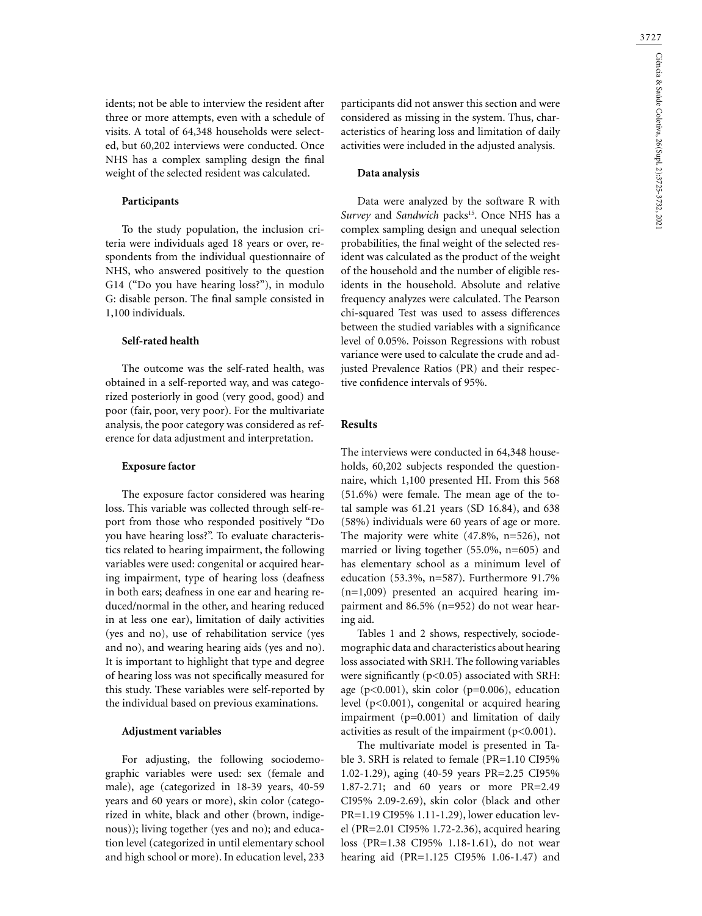idents; not be able to interview the resident after three or more attempts, even with a schedule of visits. A total of 64,348 households were selected, but 60,202 interviews were conducted. Once NHS has a complex sampling design the final weight of the selected resident was calculated.

### **Participants**

To the study population, the inclusion criteria were individuals aged 18 years or over, respondents from the individual questionnaire of NHS, who answered positively to the question G14 ("Do you have hearing loss?"), in modulo G: disable person. The final sample consisted in 1,100 individuals.

#### **Self-rated health**

The outcome was the self-rated health, was obtained in a self-reported way, and was categorized posteriorly in good (very good, good) and poor (fair, poor, very poor). For the multivariate analysis, the poor category was considered as reference for data adjustment and interpretation.

### **Exposure factor**

The exposure factor considered was hearing loss. This variable was collected through self-report from those who responded positively "Do you have hearing loss?". To evaluate characteristics related to hearing impairment, the following variables were used: congenital or acquired hearing impairment, type of hearing loss (deafness in both ears; deafness in one ear and hearing reduced/normal in the other, and hearing reduced in at less one ear), limitation of daily activities (yes and no), use of rehabilitation service (yes and no), and wearing hearing aids (yes and no). It is important to highlight that type and degree of hearing loss was not specifically measured for this study. These variables were self-reported by the individual based on previous examinations.

### **Adjustment variables**

For adjusting, the following sociodemographic variables were used: sex (female and male), age (categorized in 18-39 years, 40-59 years and 60 years or more), skin color (categorized in white, black and other (brown, indigenous)); living together (yes and no); and education level (categorized in until elementary school and high school or more). In education level, 233

participants did not answer this section and were considered as missing in the system. Thus, characteristics of hearing loss and limitation of daily activities were included in the adjusted analysis.

#### **Data analysis**

Data were analyzed by the software R with *Survey* and *Sandwich* packs<sup>15</sup>. Once NHS has a complex sampling design and unequal selection probabilities, the final weight of the selected resident was calculated as the product of the weight of the household and the number of eligible residents in the household. Absolute and relative frequency analyzes were calculated. The Pearson chi-squared Test was used to assess differences between the studied variables with a significance level of 0.05%. Poisson Regressions with robust variance were used to calculate the crude and adjusted Prevalence Ratios (PR) and their respective confidence intervals of 95%.

### **Results**

The interviews were conducted in 64,348 households, 60,202 subjects responded the questionnaire, which 1,100 presented HI. From this 568 (51.6%) were female. The mean age of the total sample was 61.21 years (SD 16.84), and 638 (58%) individuals were 60 years of age or more. The majority were white (47.8%, n=526), not married or living together (55.0%, n=605) and has elementary school as a minimum level of education (53.3%, n=587). Furthermore 91.7% (n=1,009) presented an acquired hearing impairment and 86.5% (n=952) do not wear hearing aid.

Tables 1 and 2 shows, respectively, sociodemographic data and characteristics about hearing loss associated with SRH. The following variables were significantly (p<0.05) associated with SRH: age ( $p<0.001$ ), skin color ( $p=0.006$ ), education level (p<0.001), congenital or acquired hearing impairment (p=0.001) and limitation of daily activities as result of the impairment  $(p<0.001)$ .

The multivariate model is presented in Table 3. SRH is related to female (PR=1.10 CI95% 1.02-1.29), aging (40-59 years PR=2.25 CI95% 1.87-2.71; and 60 years or more PR=2.49 CI95% 2.09-2.69), skin color (black and other PR=1.19 CI95% 1.11-1.29), lower education level (PR=2.01 CI95% 1.72-2.36), acquired hearing loss (PR=1.38 CI95% 1.18-1.61), do not wear hearing aid (PR=1.125 CI95% 1.06-1.47) and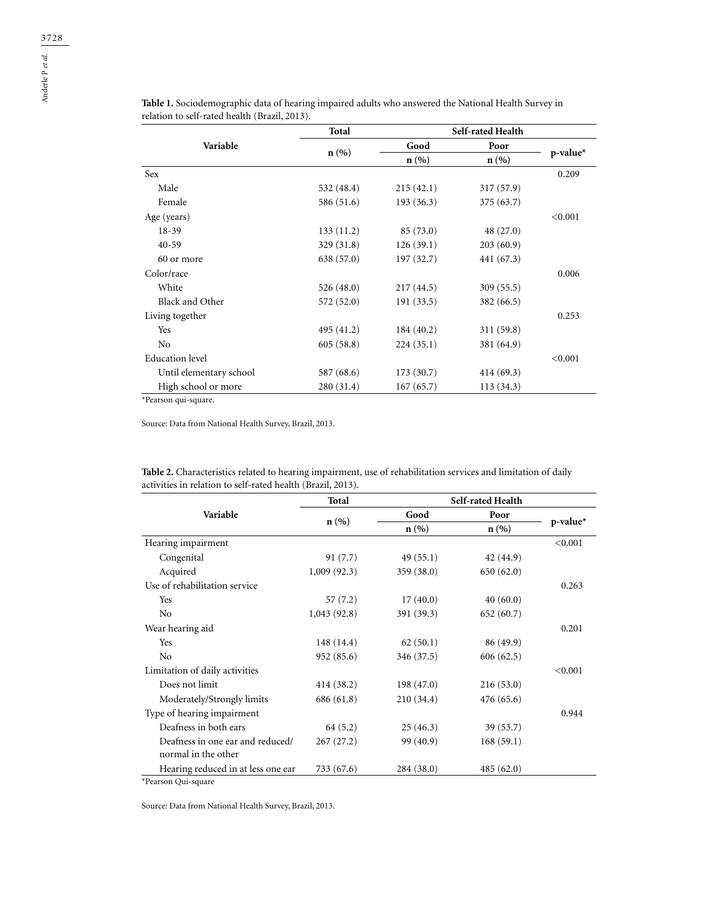|                         | Total      | Self-rated Health |            |             |  |
|-------------------------|------------|-------------------|------------|-------------|--|
| Variable                | n(%        | Good              | Poor       |             |  |
|                         |            | n(%)              | n(%        | $p$ -value* |  |
| Sex                     |            |                   |            | 0.209       |  |
| Male                    | 532 (48.4) | 215(42.1)         | 317 (57.9) |             |  |
| Female                  | 586 (51.6) | 193(36.3)         | 375 (63.7) |             |  |
| Age (years)             |            |                   |            | < 0.001     |  |
| $18-39$                 | 133(11.2)  | 85 (73.0)         | 48 (27.0)  |             |  |
| $40 - 59$               | 329 (31.8) | 126(39.1)         | 203(60.9)  |             |  |
| 60 or more              | 638 (57.0) | 197 (32.7)        | 441 (67.3) |             |  |
| Color/race              |            |                   |            | 0.006       |  |
| White                   | 526(48.0)  | 217(44.5)         | 309(55.5)  |             |  |
| Black and Other         | 572 (52.0) | 191 (33.5)        | 382 (66.5) |             |  |
| Living together         |            |                   |            | 0.253       |  |
| Yes                     | 495 (41.2) | 184(40.2)         | 311 (59.8) |             |  |
| N <sub>0</sub>          | 605(58.8)  | 224(35.1)         | 381 (64.9) |             |  |
| <b>Education</b> level  |            |                   |            | < 0.001     |  |
| Until elementary school | 587 (68.6) | 173(30.7)         | 414(69.3)  |             |  |
| High school or more     | 280 (31.4) | 167(65.7)         | 113(34.3)  |             |  |

**Table 1.** Sociodemographic data of hearing impaired adults who answered the National Health Survey in relation to self-rated health (Brazil, 2013).

\*Pearson qui-square.

Source: Data from National Health Survey, Brazil, 2013.

| Table 2. Characteristics related to hearing impairment, use of rehabilitation services and limitation of daily |  |  |  |
|----------------------------------------------------------------------------------------------------------------|--|--|--|
| activities in relation to self-rated health (Brazil, 2013).                                                    |  |  |  |

|                                                         | Total       | Self-rated Health |           |          |  |
|---------------------------------------------------------|-------------|-------------------|-----------|----------|--|
| Variable                                                | n(%)        | Good              | Poor      |          |  |
|                                                         |             | $n(\%)$           | n(%       | p-value* |  |
| Hearing impairment                                      |             |                   |           | < 0.001  |  |
| Congenital                                              | 91(7.7)     | 49(55.1)          | 42 (44.9) |          |  |
| Acquired                                                | 1,009(92.3) | 359 (38.0)        | 650(62.0) |          |  |
| Use of rehabilitation service                           |             |                   |           | 0.263    |  |
| Yes                                                     | 57(7.2)     | 17(40.0)          | 40(60.0)  |          |  |
| No                                                      | 1,043(92.8) | 391 (39.3)        | 652(60.7) |          |  |
| Wear hearing aid                                        |             |                   |           | 0.201    |  |
| Yes                                                     | 148 (14.4)  | 62(50.1)          | 86 (49.9) |          |  |
| No                                                      | 952 (85.6)  | 346 (37.5)        | 606(62.5) |          |  |
| Limitation of daily activities                          |             |                   |           | < 0.001  |  |
| Does not limit                                          | 414 (38.2)  | 198(47.0)         | 216(53.0) |          |  |
| Moderately/Strongly limits                              | 686 (61.8)  | 210(34.4)         | 476(65.6) |          |  |
| Type of hearing impairment                              |             |                   |           | 0.944    |  |
| Deafness in both ears                                   | 64 (5.2)    | 25(46.3)          | 39(53.7)  |          |  |
| Deafness in one ear and reduced/<br>normal in the other | 267(27.2)   | 99 (40.9)         | 168(59.1) |          |  |
| Hearing reduced in at less one ear                      | 733 (67.6)  | 284 (38.0)        | 485(62.0) |          |  |

\*Pearson Qui-square

Source: Data from National Health Survey, Brazil, 2013.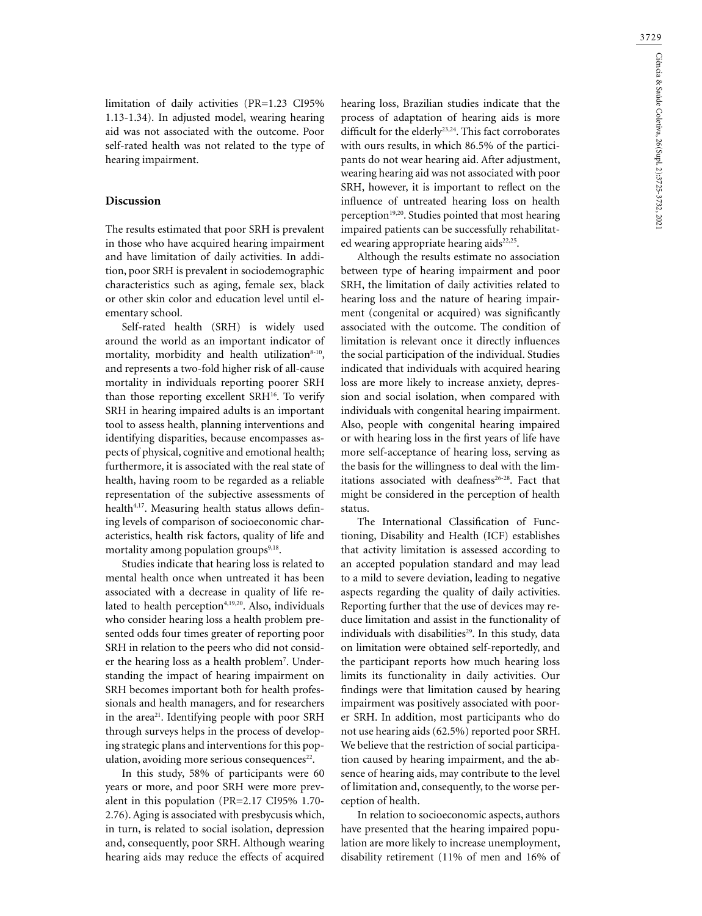limitation of daily activities (PR=1.23 CI95% 1.13-1.34). In adjusted model, wearing hearing aid was not associated with the outcome. Poor self-rated health was not related to the type of hearing impairment.

### **Discussion**

The results estimated that poor SRH is prevalent in those who have acquired hearing impairment and have limitation of daily activities. In addition, poor SRH is prevalent in sociodemographic characteristics such as aging, female sex, black or other skin color and education level until elementary school.

Self-rated health (SRH) is widely used around the world as an important indicator of mortality, morbidity and health utilization<sup>8-10</sup>, and represents a two-fold higher risk of all-cause mortality in individuals reporting poorer SRH than those reporting excellent SRH16. To verify SRH in hearing impaired adults is an important tool to assess health, planning interventions and identifying disparities, because encompasses aspects of physical, cognitive and emotional health; furthermore, it is associated with the real state of health, having room to be regarded as a reliable representation of the subjective assessments of health<sup>4,17</sup>. Measuring health status allows defining levels of comparison of socioeconomic characteristics, health risk factors, quality of life and mortality among population groups $9,18$ .

Studies indicate that hearing loss is related to mental health once when untreated it has been associated with a decrease in quality of life related to health perception<sup>4,19,20</sup>. Also, individuals who consider hearing loss a health problem presented odds four times greater of reporting poor SRH in relation to the peers who did not consider the hearing loss as a health problem<sup>7</sup>. Understanding the impact of hearing impairment on SRH becomes important both for health professionals and health managers, and for researchers in the area<sup>21</sup>. Identifying people with poor SRH through surveys helps in the process of developing strategic plans and interventions for this population, avoiding more serious consequences $22$ .

In this study, 58% of participants were 60 years or more, and poor SRH were more prevalent in this population (PR=2.17 CI95% 1.70- 2.76). Aging is associated with presbycusis which, in turn, is related to social isolation, depression and, consequently, poor SRH. Although wearing hearing aids may reduce the effects of acquired

hearing loss, Brazilian studies indicate that the process of adaptation of hearing aids is more difficult for the elderly<sup>23,24</sup>. This fact corroborates with ours results, in which 86.5% of the participants do not wear hearing aid. After adjustment, wearing hearing aid was not associated with poor SRH, however, it is important to reflect on the influence of untreated hearing loss on health perception<sup>19,20</sup>. Studies pointed that most hearing impaired patients can be successfully rehabilitated wearing appropriate hearing aids<sup>22,25</sup>.

Although the results estimate no association between type of hearing impairment and poor SRH, the limitation of daily activities related to hearing loss and the nature of hearing impairment (congenital or acquired) was significantly associated with the outcome. The condition of limitation is relevant once it directly influences the social participation of the individual. Studies indicated that individuals with acquired hearing loss are more likely to increase anxiety, depression and social isolation, when compared with individuals with congenital hearing impairment. Also, people with congenital hearing impaired or with hearing loss in the first years of life have more self-acceptance of hearing loss, serving as the basis for the willingness to deal with the limitations associated with deafness<sup>26-28</sup>. Fact that might be considered in the perception of health status.

The International Classification of Functioning, Disability and Health (ICF) establishes that activity limitation is assessed according to an accepted population standard and may lead to a mild to severe deviation, leading to negative aspects regarding the quality of daily activities. Reporting further that the use of devices may reduce limitation and assist in the functionality of individuals with disabilities<sup>29</sup>. In this study, data on limitation were obtained self-reportedly, and the participant reports how much hearing loss limits its functionality in daily activities. Our findings were that limitation caused by hearing impairment was positively associated with poorer SRH. In addition, most participants who do not use hearing aids (62.5%) reported poor SRH. We believe that the restriction of social participation caused by hearing impairment, and the absence of hearing aids, may contribute to the level of limitation and, consequently, to the worse perception of health.

In relation to socioeconomic aspects, authors have presented that the hearing impaired population are more likely to increase unemployment, disability retirement (11% of men and 16% of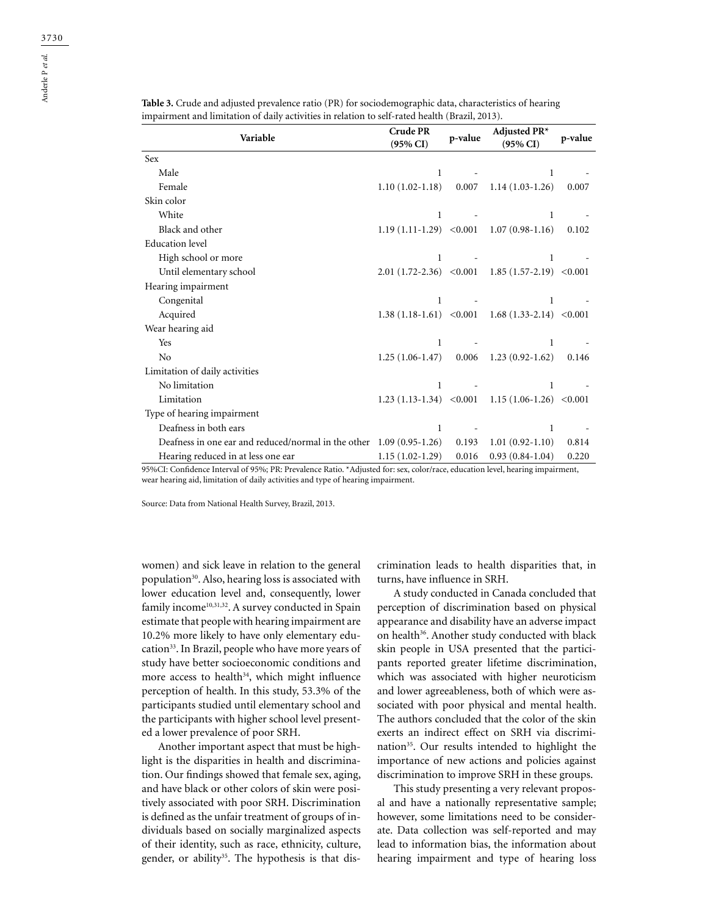| Variable                                                              | <b>Crude PR</b><br>$(95\% \text{ CI})$ | p-value | Adjusted $PR*$<br>$(95\% \text{ CI})$                | p-value |
|-----------------------------------------------------------------------|----------------------------------------|---------|------------------------------------------------------|---------|
| <b>Sex</b>                                                            |                                        |         |                                                      |         |
| Male                                                                  | $\mathbf{1}$                           |         | 1                                                    |         |
| Female                                                                | $1.10(1.02-1.18)$                      | 0.007   | $1.14(1.03-1.26)$                                    | 0.007   |
| Skin color                                                            |                                        |         |                                                      |         |
| White                                                                 | 1                                      |         | 1                                                    |         |
| Black and other                                                       |                                        |         | 1.19 $(1.11-1.29)$ < 0.001 1.07 $(0.98-1.16)$        | 0.102   |
| <b>Education</b> level                                                |                                        |         |                                                      |         |
| High school or more                                                   | 1                                      |         | 1.                                                   |         |
| Until elementary school                                               |                                        |         | $2.01(1.72-2.36)$ < $0.001$ 1.85 (1.57-2.19) < 0.001 |         |
| Hearing impairment                                                    |                                        |         |                                                      |         |
| Congenital                                                            |                                        |         | 1                                                    |         |
| Acquired                                                              |                                        |         | $1.38(1.18-1.61)$ < 0.001 $1.68(1.33-2.14)$ < 0.001  |         |
| Wear hearing aid                                                      |                                        |         |                                                      |         |
| Yes                                                                   | 1                                      |         | 1                                                    |         |
| N <sub>0</sub>                                                        | $1.25(1.06-1.47)$                      |         | $0.006$ 1.23 $(0.92-1.62)$                           | 0.146   |
| Limitation of daily activities                                        |                                        |         |                                                      |         |
| No limitation                                                         | 1                                      |         | 1                                                    |         |
| Limitation                                                            |                                        |         | $1.23(1.13-1.34)$ < 0.001 1.15 (1.06-1.26) < 0.001   |         |
| Type of hearing impairment                                            |                                        |         |                                                      |         |
| Deafness in both ears                                                 | 1                                      |         | 1                                                    |         |
| Deafness in one ear and reduced/normal in the other $1.09(0.95-1.26)$ |                                        | 0.193   | $1.01(0.92-1.10)$                                    | 0.814   |
| Hearing reduced in at less one ear                                    | $1.15(1.02-1.29)$                      | 0.016   | $0.93(0.84-1.04)$                                    | 0.220   |

**Table 3.** Crude and adjusted prevalence ratio (PR) for sociodemographic data, characteristics of hearing impairment and limitation of daily activities in relation to self-rated health (Brazil, 2013).

95%CI: Confidence Interval of 95%; PR: Prevalence Ratio. \*Adjusted for: sex, color/race, education level, hearing impairment, wear hearing aid, limitation of daily activities and type of hearing impairment.

Source: Data from National Health Survey, Brazil, 2013.

women) and sick leave in relation to the general population<sup>30</sup>. Also, hearing loss is associated with lower education level and, consequently, lower family income<sup>10,31,32</sup>. A survey conducted in Spain estimate that people with hearing impairment are 10.2% more likely to have only elementary education<sup>33</sup>. In Brazil, people who have more years of study have better socioeconomic conditions and more access to health $34$ , which might influence perception of health. In this study, 53.3% of the participants studied until elementary school and the participants with higher school level presented a lower prevalence of poor SRH.

Another important aspect that must be highlight is the disparities in health and discrimination. Our findings showed that female sex, aging, and have black or other colors of skin were positively associated with poor SRH. Discrimination is defined as the unfair treatment of groups of individuals based on socially marginalized aspects of their identity, such as race, ethnicity, culture, gender, or ability<sup>35</sup>. The hypothesis is that discrimination leads to health disparities that, in turns, have influence in SRH.

A study conducted in Canada concluded that perception of discrimination based on physical appearance and disability have an adverse impact on health<sup>36</sup>. Another study conducted with black skin people in USA presented that the participants reported greater lifetime discrimination, which was associated with higher neuroticism and lower agreeableness, both of which were associated with poor physical and mental health. The authors concluded that the color of the skin exerts an indirect effect on SRH via discrimination<sup>35</sup>. Our results intended to highlight the importance of new actions and policies against discrimination to improve SRH in these groups.

This study presenting a very relevant proposal and have a nationally representative sample; however, some limitations need to be considerate. Data collection was self-reported and may lead to information bias, the information about hearing impairment and type of hearing loss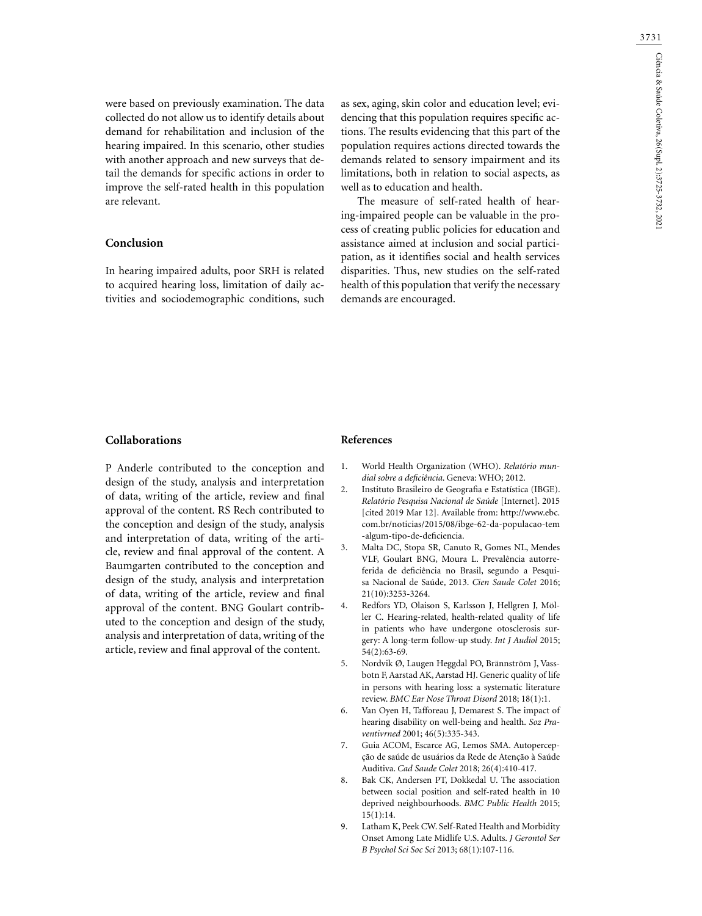were based on previously examination. The data collected do not allow us to identify details about demand for rehabilitation and inclusion of the hearing impaired. In this scenario, other studies with another approach and new surveys that detail the demands for specific actions in order to improve the self-rated health in this population are relevant.

# **Conclusion**

In hearing impaired adults, poor SRH is related to acquired hearing loss, limitation of daily activities and sociodemographic conditions, such as sex, aging, skin color and education level; evidencing that this population requires specific actions. The results evidencing that this part of the population requires actions directed towards the demands related to sensory impairment and its limitations, both in relation to social aspects, as well as to education and health.

The measure of self-rated health of hearing-impaired people can be valuable in the process of creating public policies for education and assistance aimed at inclusion and social participation, as it identifies social and health services disparities. Thus, new studies on the self-rated health of this population that verify the necessary demands are encouraged.

## **Collaborations**

P Anderle contributed to the conception and design of the study, analysis and interpretation of data, writing of the article, review and final approval of the content. RS Rech contributed to the conception and design of the study, analysis and interpretation of data, writing of the article, review and final approval of the content. A Baumgarten contributed to the conception and design of the study, analysis and interpretation of data, writing of the article, review and final approval of the content. BNG Goulart contributed to the conception and design of the study, analysis and interpretation of data, writing of the article, review and final approval of the content.

#### **References**

- 1. World Health Organization (WHO). *Relatório mundial sobre a deficiência*. Geneva: WHO; 2012.
- 2. Instituto Brasileiro de Geografia e Estatística (IBGE). *Relatório Pesquisa Nacional de Saúde* [Internet]. 2015 [cited 2019 Mar 12]. Available from: http://www.ebc. com.br/noticias/2015/08/ibge-62-da-populacao-tem -algum-tipo-de-deficiencia.
- 3. Malta DC, Stopa SR, Canuto R, Gomes NL, Mendes VLF, Goulart BNG, Moura L. Prevalência autorreferida de deficiência no Brasil, segundo a Pesquisa Nacional de Saúde, 2013. *Cien Saude Colet* 2016; 21(10):3253-3264.
- 4. Redfors YD, Olaison S, Karlsson J, Hellgren J, Möller C. Hearing-related, health-related quality of life in patients who have undergone otosclerosis surgery: A long-term follow-up study. *Int J Audiol* 2015; 54(2):63-69.
- 5. Nordvik Ø, Laugen Heggdal PO, Brännström J, Vassbotn F, Aarstad AK, Aarstad HJ. Generic quality of life in persons with hearing loss: a systematic literature review. *BMC Ear Nose Throat Disord* 2018; 18(1):1.
- 6. Van Oyen H, Tafforeau J, Demarest S. The impact of hearing disability on well-being and health. *Soz Praventivrned* 2001; 46(5):335-343.
- 7. Guia ACOM, Escarce AG, Lemos SMA. Autopercepção de saúde de usuários da Rede de Atenção à Saúde Auditiva. *Cad Saude Colet* 2018; 26(4):410-417.
- 8. Bak CK, Andersen PT, Dokkedal U. The association between social position and self-rated health in 10 deprived neighbourhoods. *BMC Public Health* 2015; 15(1):14.
- 9. Latham K, Peek CW. Self-Rated Health and Morbidity Onset Among Late Midlife U.S. Adults. *J Gerontol Ser B Psychol Sci Soc Sci* 2013; 68(1):107-116.